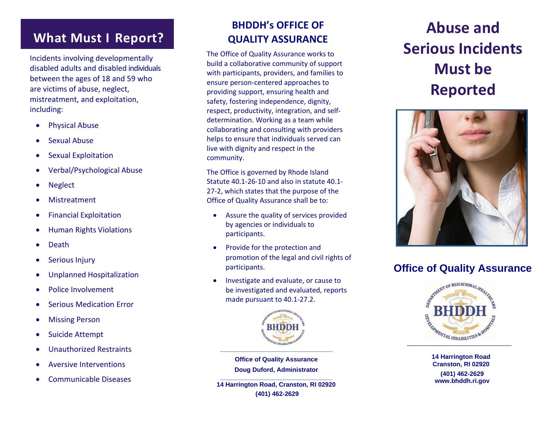Incidents involving developmentally disabled adults and disabled individuals between the ages of 18 and 59 who are victims of abuse, neglect, mistreatment, and exploitation, including:

- Physical Abuse
- Sexual Abuse
- Sexual Exploitation
- Verbal/Psychological Abuse
- **Neglect**
- **Mistreatment**
- Financial Exploitation
- Human Rights Violations
- Death
- Serious Injury
- Unplanned Hospitalization
- Police Involvement
- Serious Medication Error
- **Missing Person**
- Suicide Attempt
- Unauthorized Restraints
- Aversive Interventions
- Communicable Diseases

## **BHDDH's OFFICE OF QUALITY ASSURANCE**

The Office of Quality Assurance works to build a collaborative community of support with participants, providers, and families to ensure person-centered approaches to providing support, ensuring health and safety, fostering independence, dignity, respect, productivity, integration, and selfdetermination. Working as a team while collaborating and consulting with providers helps to ensure that individuals served can live with dignity and respect in the community.

The Office is governed by Rhode Island Statute 40.1-26-10 and also in statute 40.1- 27-2, which states that the purpose of the Office of Quality Assurance shall be to:

- Assure the quality of services provided by agencies or individuals to participants.
- Provide for the protection and promotion of the legal and civil rights of participants.
- Investigate and evaluate, or cause to be investigated and evaluated, reports made pursuant to 40.1-27.2.



**Office of Quality Assurance Doug Duford, Administrator \_\_\_\_\_\_\_\_\_\_\_\_\_\_\_\_\_\_\_\_\_\_\_\_\_\_\_\_\_\_\_\_**

**14 Harrington Road, Cranston, RI 02920 (401) 462-2629**

## **What Must I** Report? **Abuse and <b>Abuse** and **Abuse** and **Abuse** and **Abuse** and **Abuse** and **Abuse** and **Abuse** and **Abuse** and **Abuse** and **Abuse** and **Abuse** and **Abuse** and **Abuse** and **Abuse** and **Abuse** and **Abuse** a **Serious Incidents Must be Reported**



## **Office of Quality Assurance**



**14 Harrington Road Cranston, RI 02920 (401) 462-2629 www.bhddh.ri.gov**